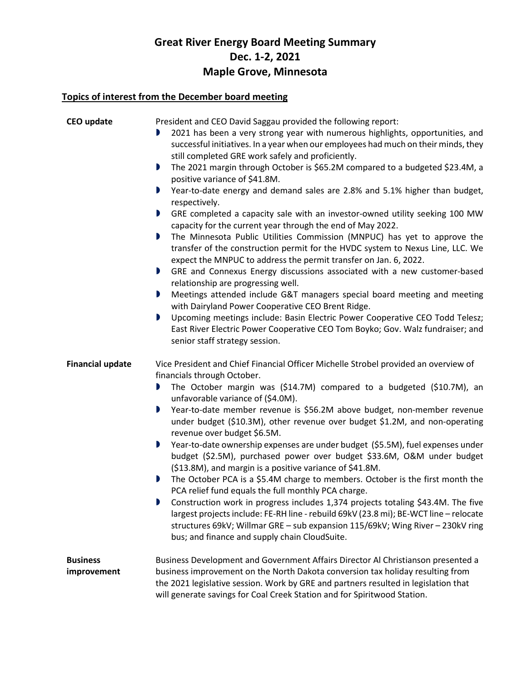## **Great River Energy Board Meeting Summary Dec. 1-2, 2021 Maple Grove, Minnesota**

## **Topics of interest from the December board meeting**

| <b>CEO</b> update              | President and CEO David Saggau provided the following report:<br>2021 has been a very strong year with numerous highlights, opportunities, and<br>successful initiatives. In a year when our employees had much on their minds, they<br>still completed GRE work safely and proficiently.<br>The 2021 margin through October is \$65.2M compared to a budgeted \$23.4M, a<br>D<br>positive variance of \$41.8M.<br>Year-to-date energy and demand sales are 2.8% and 5.1% higher than budget,<br>D<br>respectively.<br>GRE completed a capacity sale with an investor-owned utility seeking 100 MW<br>capacity for the current year through the end of May 2022.<br>The Minnesota Public Utilities Commission (MNPUC) has yet to approve the<br>D<br>transfer of the construction permit for the HVDC system to Nexus Line, LLC. We                                                                                                                                                                                                                                                                                                        |
|--------------------------------|--------------------------------------------------------------------------------------------------------------------------------------------------------------------------------------------------------------------------------------------------------------------------------------------------------------------------------------------------------------------------------------------------------------------------------------------------------------------------------------------------------------------------------------------------------------------------------------------------------------------------------------------------------------------------------------------------------------------------------------------------------------------------------------------------------------------------------------------------------------------------------------------------------------------------------------------------------------------------------------------------------------------------------------------------------------------------------------------------------------------------------------------|
|                                | expect the MNPUC to address the permit transfer on Jan. 6, 2022.<br>GRE and Connexus Energy discussions associated with a new customer-based<br>D                                                                                                                                                                                                                                                                                                                                                                                                                                                                                                                                                                                                                                                                                                                                                                                                                                                                                                                                                                                          |
|                                | relationship are progressing well.<br>Meetings attended include G&T managers special board meeting and meeting<br>D<br>with Dairyland Power Cooperative CEO Brent Ridge.<br>Upcoming meetings include: Basin Electric Power Cooperative CEO Todd Telesz;<br>D<br>East River Electric Power Cooperative CEO Tom Boyko; Gov. Walz fundraiser; and<br>senior staff strategy session.                                                                                                                                                                                                                                                                                                                                                                                                                                                                                                                                                                                                                                                                                                                                                          |
| <b>Financial update</b>        | Vice President and Chief Financial Officer Michelle Strobel provided an overview of<br>financials through October.<br>The October margin was (\$14.7M) compared to a budgeted (\$10.7M), an<br>D<br>unfavorable variance of (\$4.0M).<br>Year-to-date member revenue is \$56.2M above budget, non-member revenue<br>D<br>under budget (\$10.3M), other revenue over budget \$1.2M, and non-operating<br>revenue over budget \$6.5M.<br>Year-to-date ownership expenses are under budget (\$5.5M), fuel expenses under<br>$\blacksquare$<br>budget (\$2.5M), purchased power over budget \$33.6M, O&M under budget<br>(\$13.8M), and margin is a positive variance of \$41.8M.<br>The October PCA is a \$5.4M charge to members. October is the first month the<br>D<br>PCA relief fund equals the full monthly PCA charge.<br>Construction work in progress includes 1,374 projects totaling \$43.4M. The five<br>largest projects include: FE-RH line - rebuild 69kV (23.8 mi); BE-WCT line - relocate<br>structures 69kV; Willmar GRE - sub expansion 115/69kV; Wing River - 230kV ring<br>bus; and finance and supply chain CloudSuite. |
| <b>Business</b><br>improvement | Business Development and Government Affairs Director Al Christianson presented a<br>business improvement on the North Dakota conversion tax holiday resulting from<br>the 2021 legislative session. Work by GRE and partners resulted in legislation that<br>will generate savings for Coal Creek Station and for Spiritwood Station.                                                                                                                                                                                                                                                                                                                                                                                                                                                                                                                                                                                                                                                                                                                                                                                                      |